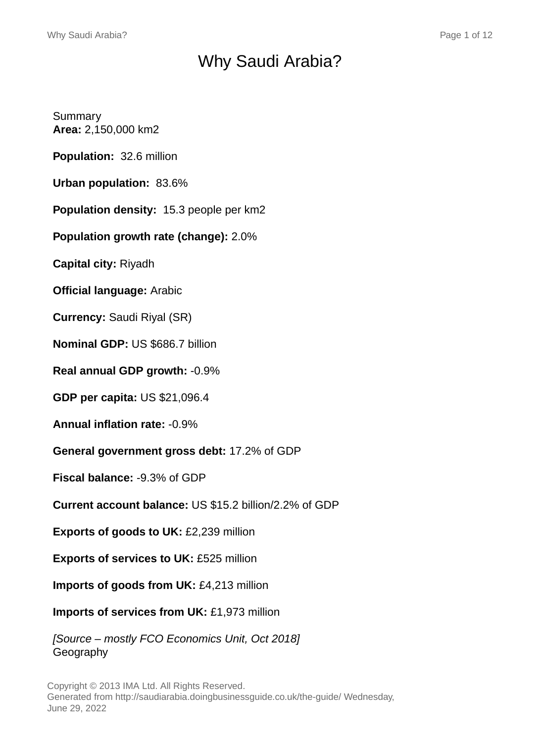# Why Saudi Arabia?

Summary **Area:** 2,150,000 km2

**Population:** 32.6 million

**Urban population:** 83.6%

**Population density:** 15.3 people per km2

**Population growth rate (change):** 2.0%

**Capital city:** Riyadh

**Official language:** Arabic

**Currency:** Saudi Riyal (SR)

**Nominal GDP:** US \$686.7 billion

**Real annual GDP growth:** -0.9%

**GDP per capita:** US \$21,096.4

**Annual inflation rate:** -0.9%

**General government gross debt:** 17.2% of GDP

**Fiscal balance:** -9.3% of GDP

**Current account balance:** US \$15.2 billion/2.2% of GDP

**Exports of goods to UK:** £2,239 million

**Exports of services to UK:** £525 million

**Imports of goods from UK:** £4,213 million

**Imports of services from UK:** £1,973 million

[Source – mostly FCO Economics Unit, Oct 2018] Geography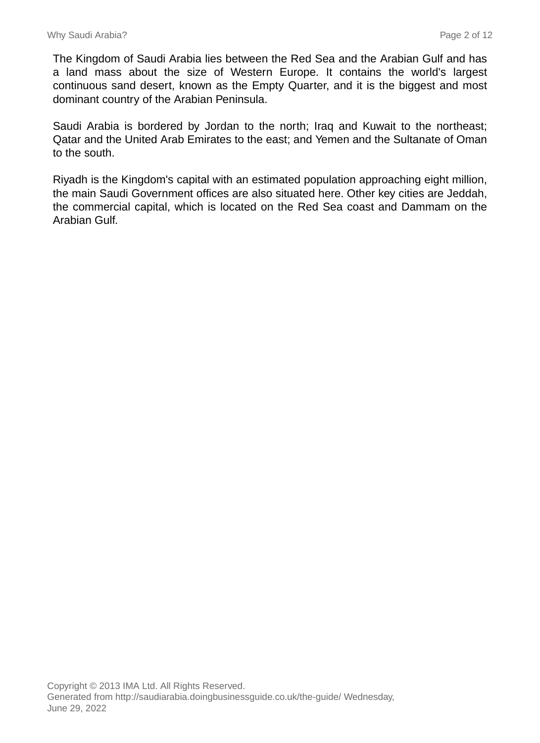The Kingdom of Saudi Arabia lies between the Red Sea and the Arabian Gulf and has a land mass about the size of Western Europe. It contains the world's largest continuous sand desert, known as the Empty Quarter, and it is the biggest and most dominant country of the Arabian Peninsula.

Saudi Arabia is bordered by Jordan to the north; Iraq and Kuwait to the northeast; Qatar and the United Arab Emirates to the east; and Yemen and the Sultanate of Oman to the south.

Riyadh is the Kingdom's capital with an estimated population approaching eight million, the main Saudi Government offices are also situated here. Other key cities are Jeddah, the commercial capital, which is located on the Red Sea coast and Dammam on the Arabian Gulf.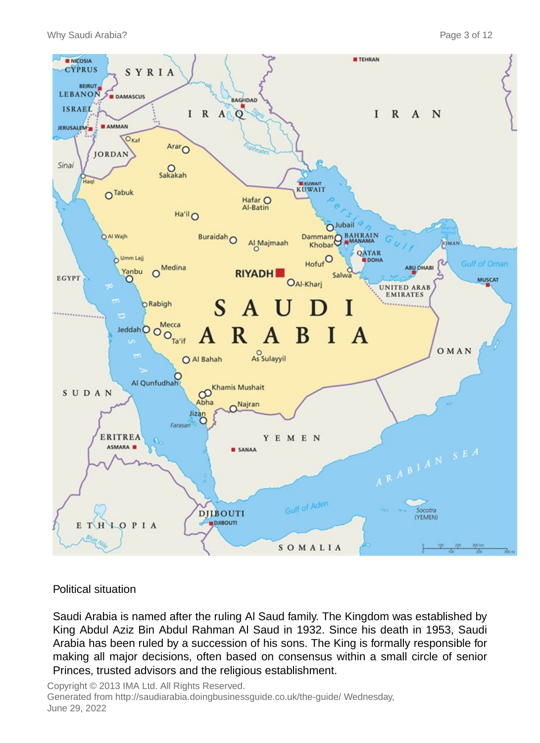

#### Political situation

Saudi Arabia is named after the ruling Al Saud family. The Kingdom was established by King Abdul Aziz Bin Abdul Rahman Al Saud in 1932. Since his death in 1953, Saudi Arabia has been ruled by a succession of his sons. The King is formally responsible for making all major decisions, often based on consensus within a small circle of senior Princes, trusted advisors and the religious establishment.

Copyright © 2013 IMA Ltd. All Rights Reserved. Generated from http://saudiarabia.doingbusinessguide.co.uk/the-guide/ Wednesday, June 29, 2022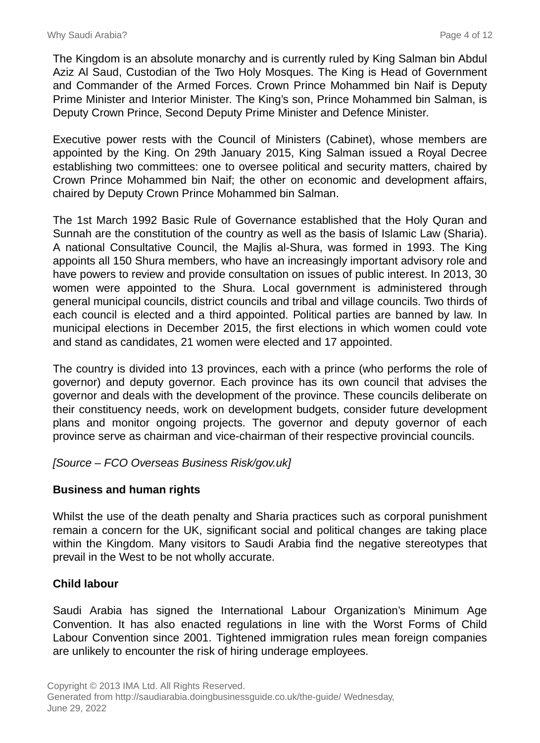The Kingdom is an absolute monarchy and is currently ruled by King Salman bin Abdul Aziz Al Saud, Custodian of the Two Holy Mosques. The King is Head of Government and Commander of the Armed Forces. Crown Prince Mohammed bin Naif is Deputy Prime Minister and Interior Minister. The King's son, Prince Mohammed bin Salman, is Deputy Crown Prince, Second Deputy Prime Minister and Defence Minister.

Executive power rests with the Council of Ministers (Cabinet), whose members are appointed by the King. On 29th January 2015, King Salman issued a Royal Decree establishing two committees: one to oversee political and security matters, chaired by Crown Prince Mohammed bin Naif; the other on economic and development affairs, chaired by Deputy Crown Prince Mohammed bin Salman.

The 1st March 1992 Basic Rule of Governance established that the Holy Quran and Sunnah are the constitution of the country as well as the basis of Islamic Law (Sharia). A national Consultative Council, the Majlis al-Shura, was formed in 1993. The King appoints all 150 Shura members, who have an increasingly important advisory role and have powers to review and provide consultation on issues of public interest. In 2013, 30 women were appointed to the Shura. Local government is administered through general municipal councils, district councils and tribal and village councils. Two thirds of each council is elected and a third appointed. Political parties are banned by law. In municipal elections in December 2015, the first elections in which women could vote and stand as candidates, 21 women were elected and 17 appointed.

The country is divided into 13 provinces, each with a prince (who performs the role of governor) and deputy governor. Each province has its own council that advises the governor and deals with the development of the province. These councils deliberate on their constituency needs, work on development budgets, consider future development plans and monitor ongoing projects. The governor and deputy governor of each province serve as chairman and vice-chairman of their respective provincial councils.

[Source – FCO Overseas Business Risk/gov.uk]

# **Business and human rights**

Whilst the use of the death penalty and Sharia practices such as corporal punishment remain a concern for the UK, significant social and political changes are taking place within the Kingdom. Many visitors to Saudi Arabia find the negative stereotypes that prevail in the West to be not wholly accurate.

# **Child labour**

Saudi Arabia has signed the International Labour Organization's Minimum Age Convention. It has also enacted regulations in line with the Worst Forms of Child Labour Convention since 2001. Tightened immigration rules mean foreign companies are unlikely to encounter the risk of hiring underage employees.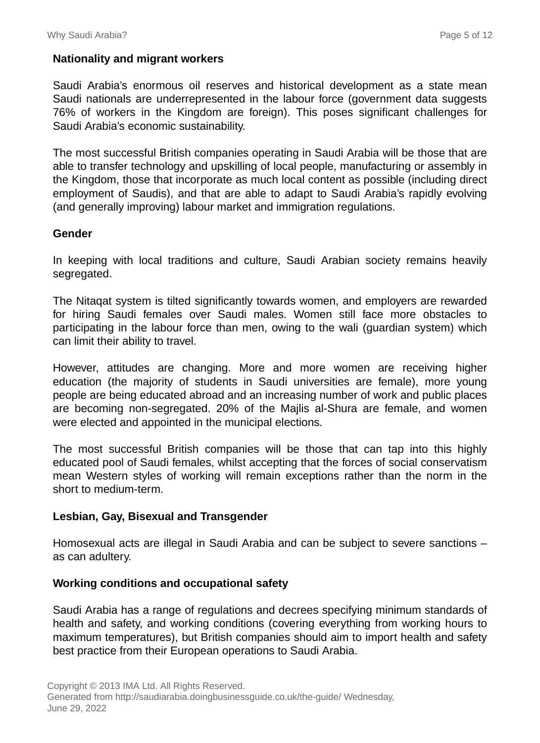# **Nationality and migrant workers**

Saudi Arabia's enormous oil reserves and historical development as a state mean Saudi nationals are underrepresented in the labour force (government data suggests 76% of workers in the Kingdom are foreign). This poses significant challenges for Saudi Arabia's economic sustainability.

The most successful British companies operating in Saudi Arabia will be those that are able to transfer technology and upskilling of local people, manufacturing or assembly in the Kingdom, those that incorporate as much local content as possible (including direct employment of Saudis), and that are able to adapt to Saudi Arabia's rapidly evolving (and generally improving) labour market and immigration regulations.

#### **Gender**

In keeping with local traditions and culture, Saudi Arabian society remains heavily segregated.

The Nitaqat system is tilted significantly towards women, and employers are rewarded for hiring Saudi females over Saudi males. Women still face more obstacles to participating in the labour force than men, owing to the wali (guardian system) which can limit their ability to travel.

However, attitudes are changing. More and more women are receiving higher education (the majority of students in Saudi universities are female), more young people are being educated abroad and an increasing number of work and public places are becoming non-segregated. 20% of the Majlis al-Shura are female, and women were elected and appointed in the municipal elections.

The most successful British companies will be those that can tap into this highly educated pool of Saudi females, whilst accepting that the forces of social conservatism mean Western styles of working will remain exceptions rather than the norm in the short to medium-term.

#### **Lesbian, Gay, Bisexual and Transgender**

Homosexual acts are illegal in Saudi Arabia and can be subject to severe sanctions – as can adultery.

#### **Working conditions and occupational safety**

Saudi Arabia has a range of regulations and decrees specifying minimum standards of health and safety, and working conditions (covering everything from working hours to maximum temperatures), but British companies should aim to import health and safety best practice from their European operations to Saudi Arabia.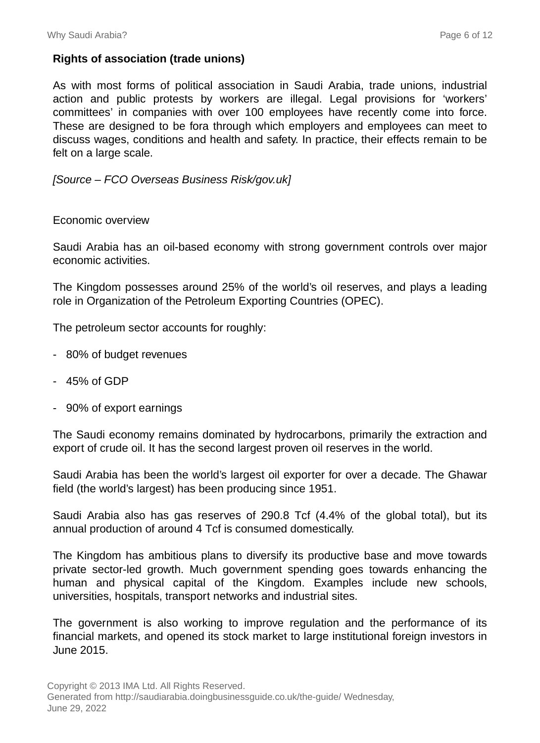# **Rights of association (trade unions)**

As with most forms of political association in Saudi Arabia, trade unions, industrial action and public protests by workers are illegal. Legal provisions for 'workers' committees' in companies with over 100 employees have recently come into force. These are designed to be fora through which employers and employees can meet to discuss wages, conditions and health and safety. In practice, their effects remain to be felt on a large scale.

#### [Source – FCO Overseas Business Risk/gov.uk]

#### Economic overview

Saudi Arabia has an oil-based economy with strong government controls over major economic activities.

The Kingdom possesses around 25% of the world's oil reserves, and plays a leading role in Organization of the Petroleum Exporting Countries (OPEC).

The petroleum sector accounts for roughly:

- 80% of budget revenues
- 45% of GDP
- 90% of export earnings

The Saudi economy remains dominated by hydrocarbons, primarily the extraction and export of crude oil. It has the second largest proven oil reserves in the world.

Saudi Arabia has been the world's largest oil exporter for over a decade. The Ghawar field (the world's largest) has been producing since 1951.

Saudi Arabia also has gas reserves of 290.8 Tcf (4.4% of the global total), but its annual production of around 4 Tcf is consumed domestically.

The Kingdom has ambitious plans to diversify its productive base and move towards private sector-led growth. Much government spending goes towards enhancing the human and physical capital of the Kingdom. Examples include new schools, universities, hospitals, transport networks and industrial sites.

The government is also working to improve regulation and the performance of its financial markets, and opened its stock market to large institutional foreign investors in June 2015.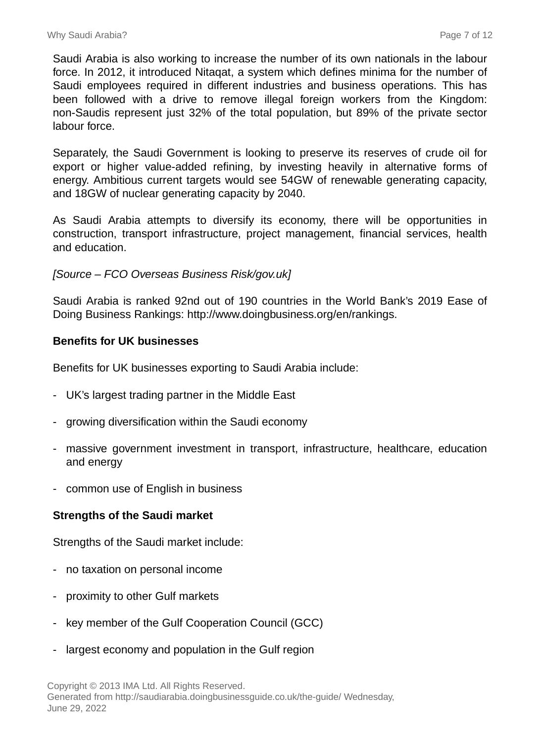Saudi Arabia is also working to increase the number of its own nationals in the labour force. In 2012, it introduced Nitaqat, a system which defines minima for the number of Saudi employees required in different industries and business operations. This has been followed with a drive to remove illegal foreign workers from the Kingdom: non-Saudis represent just 32% of the total population, but 89% of the private sector labour force.

Separately, the Saudi Government is looking to preserve its reserves of crude oil for export or higher value-added refining, by investing heavily in alternative forms of energy. Ambitious current targets would see 54GW of renewable generating capacity, and 18GW of nuclear generating capacity by 2040.

As Saudi Arabia attempts to diversify its economy, there will be opportunities in construction, transport infrastructure, project management, financial services, health and education.

# [Source – FCO Overseas Business Risk/gov.uk]

Saudi Arabia is ranked 92nd out of 190 countries in the World Bank's 2019 Ease of Doing Business Rankings: http://www.doingbusiness.org/en/rankings.

# **Benefits for UK businesses**

Benefits for UK businesses exporting to Saudi Arabia include:

- UK's largest trading partner in the Middle East
- growing diversification within the Saudi economy
- massive government investment in transport, infrastructure, healthcare, education and energy
- common use of English in business

#### **Strengths of the Saudi market**

Strengths of the Saudi market include:

- no taxation on personal income
- proximity to other Gulf markets
- key member of the Gulf Cooperation Council (GCC)
- largest economy and population in the Gulf region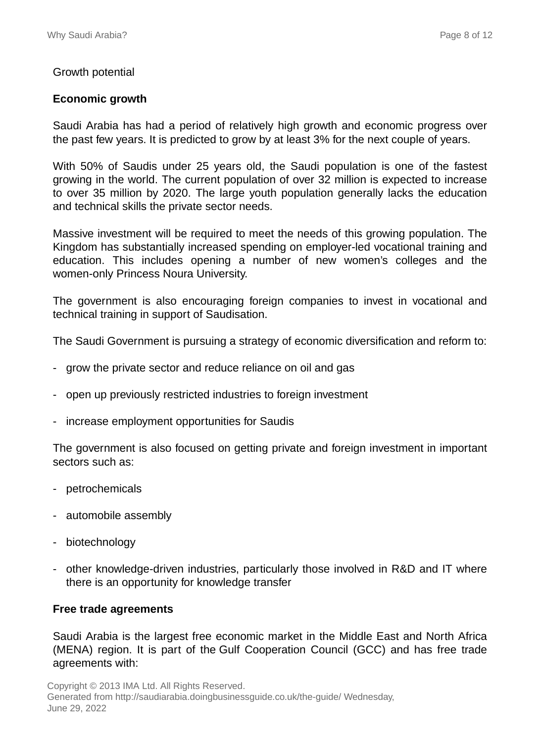#### Growth potential

#### **Economic growth**

Saudi Arabia has had a period of relatively high growth and economic progress over the past few years. It is predicted to grow by at least 3% for the next couple of years.

With 50% of Saudis under 25 years old, the Saudi population is one of the fastest growing in the world. The current population of over 32 million is expected to increase to over 35 million by 2020. The large youth population generally lacks the education and technical skills the private sector needs.

Massive investment will be required to meet the needs of this growing population. The Kingdom has substantially increased spending on employer-led vocational training and education. This includes opening a number of new women's colleges and the women-only Princess Noura University.

The government is also encouraging foreign companies to invest in vocational and technical training in support of Saudisation.

The Saudi Government is pursuing a strategy of economic diversification and reform to:

- grow the private sector and reduce reliance on oil and gas
- open up previously restricted industries to foreign investment
- increase employment opportunities for Saudis

The government is also focused on getting private and foreign investment in important sectors such as:

- petrochemicals
- automobile assembly
- biotechnology
- other knowledge-driven industries, particularly those involved in R&D and IT where there is an opportunity for knowledge transfer

#### **Free trade agreements**

Saudi Arabia is the largest free economic market in the Middle East and North Africa (MENA) region. It is part of the Gulf Cooperation Council (GCC) and has free trade agreements with: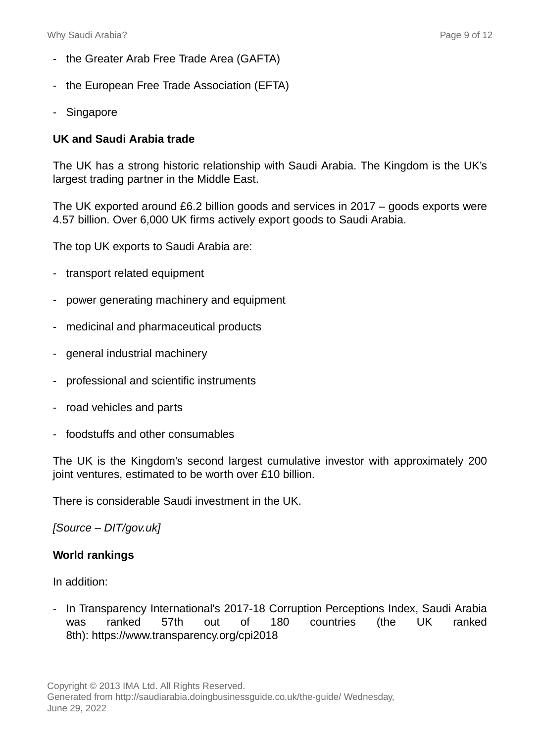- the Greater Arab Free Trade Area (GAFTA)
- the European Free Trade Association (EFTA)
- Singapore

# **UK and Saudi Arabia trade**

The UK has a strong historic relationship with Saudi Arabia. The Kingdom is the UK's largest trading partner in the Middle East.

The UK exported around £6.2 billion goods and services in 2017 – goods exports were 4.57 billion. Over 6,000 UK firms actively export goods to Saudi Arabia.

The top UK exports to Saudi Arabia are:

- transport related equipment
- power generating machinery and equipment
- medicinal and pharmaceutical products
- general industrial machinery
- professional and scientific instruments
- road vehicles and parts
- foodstuffs and other consumables

The UK is the Kingdom's second largest cumulative investor with approximately 200 joint ventures, estimated to be worth over £10 billion.

There is considerable Saudi investment in the UK.

#### [Source – DIT/gov.uk]

#### **World rankings**

In addition:

- In Transparency International's 2017-18 Corruption Perceptions Index, Saudi Arabia was ranked 57th out of 180 countries (the UK ranked 8th): https://www.transparency.org/cpi2018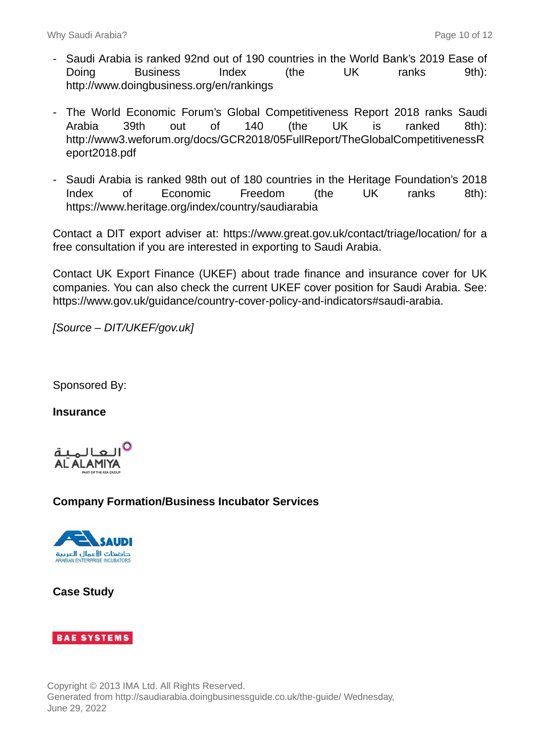- Saudi Arabia is ranked 92nd out of 190 countries in the World Bank's 2019 Ease of Doing Business Index (the UK ranks 9th): http://www.doingbusiness.org/en/rankings
- The World Economic Forum's Global Competitiveness Report 2018 ranks Saudi Arabia 39th out of 140 (the UK is ranked 8th): http://www3.weforum.org/docs/GCR2018/05FullReport/TheGlobalCompetitivenessR eport2018.pdf
- Saudi Arabia is ranked 98th out of 180 countries in the Heritage Foundation's 2018 Index of Economic Freedom (the UK ranks 8th): https://www.heritage.org/index/country/saudiarabia

Contact a DIT export adviser at: https://www.great.gov.uk/contact/triage/location/ for a free consultation if you are interested in exporting to Saudi Arabia.

Contact UK Export Finance (UKEF) about trade finance and insurance cover for UK companies. You can also check the current UKEF cover position for Saudi Arabia. See: https://www.gov.uk/guidance/country-cover-policy-and-indicators#saudi-arabia.

[Source – DIT/UKEF/gov.uk]

Sponsored By:

**Insurance**



# **Company Formation/Business Incubator Services**



**Case Study**

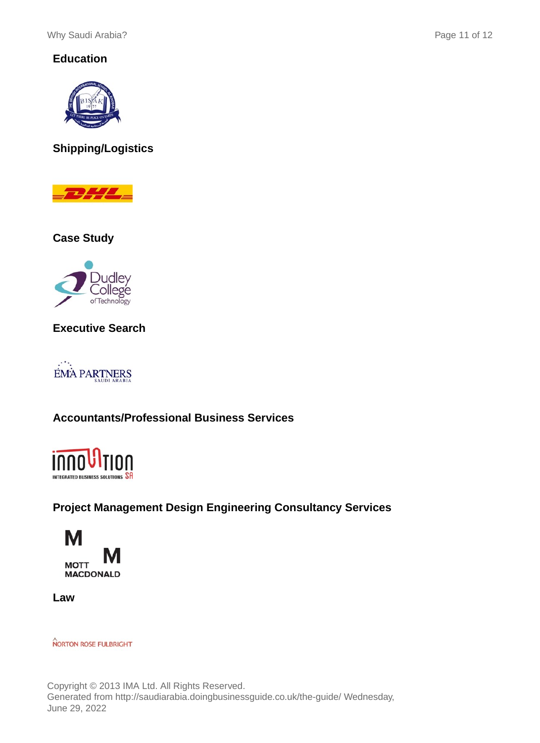# **Education**



# **Shipping/Logistics**



**Case Study**



**Executive Search**



# **Accountants/Professional Business Services**



# **Project Management Design Engineering Consultancy Services**



**Law**

**NORTON ROSE FULBRIGHT**